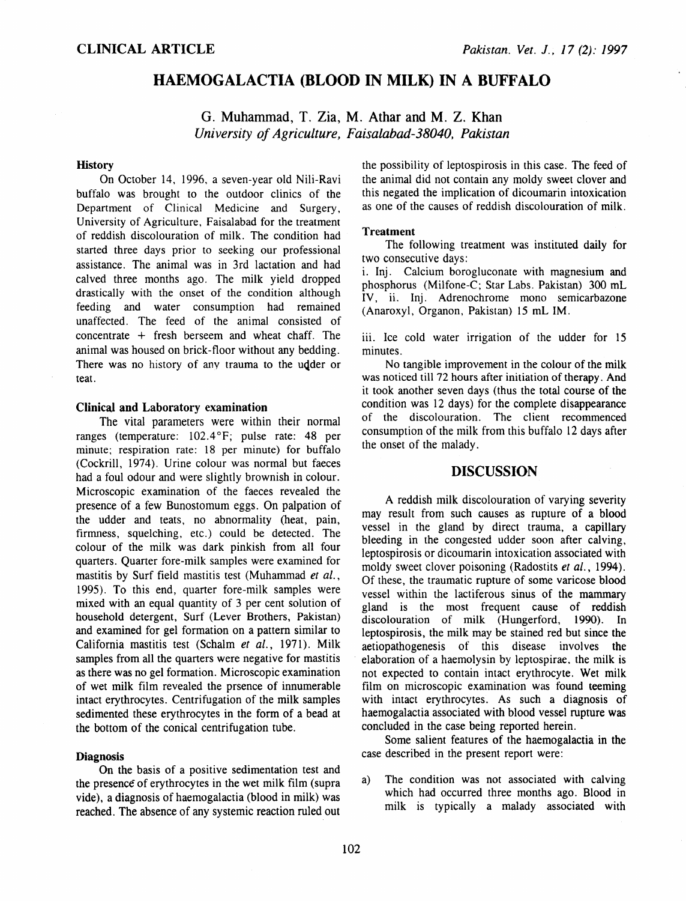# HAEMOGALACTIA (BLOOD IN MILK) IN A BUFFALO

G. Muhammad, T. Zia, M. Athar and M. Z. Khan *University of Agriculture, Faisalabad-38040, Pakistan* 

### **History**

On October 14, 1996, a seven-year old Nili-Ravi buffalo was brought to the outdoor clinics of the Department of Clinical Medicine and Surgery, University of Agriculture, Faisalabad for the treatment of reddish discolouration of milk. The condition had started three days prior to seeking our professional assistance. The animal was in 3rd lactation and had calved three months ago. The milk yield dropped drastically with the onset of the condition although feeding and water consumption had remained unaffected. The feed of the animal consisted of concentrate + fresh berseem and wheat chaff. The animal was housed on brick-floor without any bedding. There was no history of any trauma to the udder or teat.

## Clinical and Laboratory examination

The vital parameters were within their normal ranges (temperature: 102.4°F; pulse rate: 48 per minute; respiration rate: 18 per minute) for buffalo (Cockrill, 1974). Urine colour was normal but faeces had a foul odour and were slightly brownish in colour. Microscopic examination of the faeces revealed the presence of a few Bunostomum eggs. On palpation of the udder and teats, no abnormality (heat, pain, firmness, squelching, etc.) could be detected. The colour of the milk was dark pinkish from all four quarters. Quarter fore-milk samples were examined for mastitis by Surf field mastitis test (Muhammad *et al.,*  1995). To this end, quarter fore-milk samples were mixed with an equal quantity of 3 per cent solution of household detergent, Surf (Lever Brothers, Pakistan) and examined for gel formation on a pattern similar to California mastitis test (Schalm *et al.,* 1971). Milk samples from all the quarters were negative for mastitis as there was no gel formation. Microscopic examination of wet milk film revealed the prsence of innumerable intact erythrocytes. Centrifugation of the milk samples sedimented these erythrocytes in the form of a bead at the bottom of the conical centrifugation tube.

#### Diagnosis

On the basis of a positive sedimentation test and the presence of erythrocytes in the wet milk film (supra vide), a diagnosis of haemogalactia (blood in milk) was reached. The absence of any systemic reaction ruled out the possibility of leptospirosis in this case. The feed of the animal did not contain any moldy sweet clover and this negated the implication of dicoumarin intoxication as one of the causes of reddish discolouration of milk.

#### **Treatment**

The following treatment was instituted daily for two consecutive days:

i. Inj. Calcium borogluconate with magnesium and phosphorus (Milfone-C; Star Labs. Pakistan) 300 mL IV, ii. Inj. Adrenochrome mono semicarbazone (Anaroxyl, Organon, Pakistan) 15 mL IM.

iii. Ice cold water irrigation of the udder for 15 minutes.

No tangible improvement in the colour of the milk was noticed till 72 hours after initiation of therapy. And it took another seven days (thus the total course of the condition was 12 days) for the complete disappearance of the discolouration. The client recommenced consumption of the milk from this buffalo 12 days after the onset of the malady.

### DISCUSSION

A reddish milk discolouration of varying severity may result from such causes as rupture of a blood vessel in the gland by direct trauma, a capillary bleeding in the congested udder soon after calving, leptospirosis or dicoumarin intoxication associated with moldy sweet clover poisoning (Radostits *et al.,* 1994). Of these, the traumatic rupture of some varicose blood vessel within the lactiferous sinus of the mammary gland is the most frequent cause of reddish discolouration of milk (Hungerford, 1990). In leptospirosis, the milk may be stained red but since the aetiopathogenesis of this disease involves the elaboration of a haemolysin by leptospirae. the milk is not expected to contain intact erythrocyte. Wet milk film on microscopic examination was found teeming with intact erythrocytes. As such a diagnosis of haemogalactia associated with blood vessel rupture was concluded in the case being reported herein.

Some salient features of the haemogalactia in the case described in the present report were:

a) The condition was not associated with calving which had occurred three months ago. Blood in milk is typically a malady associated with